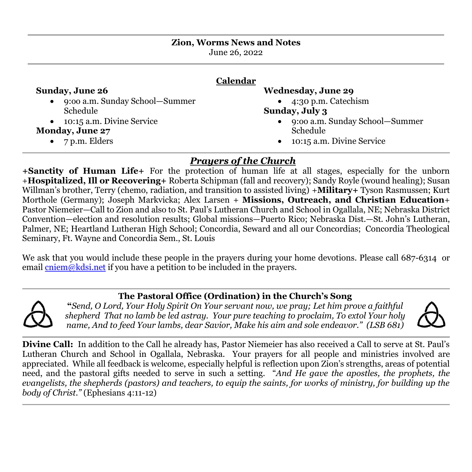| <b>Zion, Worms News and Notes</b> |
|-----------------------------------|
| June 26, 2022                     |

# **Calendar**

#### **Sunday, June 26**

- 9:oo a.m. Sunday School—Summer Schedule
- 10:15 a.m. Divine Service

### **Monday, June 27**

• 7 p.m. Elders

### **Wednesday, June 29**

• 4:30 p.m. Catechism

#### **Sunday, July 3**

- 9:oo a.m. Sunday School—Summer Schedule
- 10:15 a.m. Divine Service

## *Prayers of the Church*

**+Sanctity of Human Life+** For the protection of human life at all stages, especially for the unborn +**Hospitalized, Ill or Recovering+** Roberta Schipman (fall and recovery); Sandy Royle (wound healing); Susan Willman's brother, Terry (chemo, radiation, and transition to assisted living) +**Military+** Tyson Rasmussen; Kurt Morthole (Germany); Joseph Markvicka; Alex Larsen + **Missions, Outreach, and Christian Education**+ Pastor Niemeier—Call to Zion and also to St. Paul's Lutheran Church and School in Ogallala, NE; Nebraska District Convention—election and resolution results; Global missions—Puerto Rico; Nebraska Dist.—St. John's Lutheran, Palmer, NE; Heartland Lutheran High School; Concordia, Seward and all our Concordias; Concordia Theological Seminary, Ft. Wayne and Concordia Sem., St. Louis

We ask that you would include these people in the prayers during your home devotions. Please call 687-6314 or email  $\overline{\text{cniem}\omega\text{k}}$  kdsi.net if you have a petition to be included in the prayers.

## **The Pastoral Office (Ordination) in the Church's Song**

**"***Send, O Lord, Your Holy Spirit On Your servant now, we pray; Let him prove a faithful shepherd That no lamb be led astray. Your pure teaching to proclaim, To extol Your holy name, And to feed Your lambs, dear Savior, Make his aim and sole endeavor." (LSB 681)*



**Divine Call:** In addition to the Call he already has, Pastor Niemeier has also received a Call to serve at St. Paul's Lutheran Church and School in Ogallala, Nebraska. Your prayers for all people and ministries involved are appreciated. While all feedback is welcome, especially helpful is reflection upon Zion's strengths, areas of potential need, and the pastoral gifts needed to serve in such a setting. "And He gave the apostles, the prophets, the *evangelists, the shepherds (pastors) and teachers, to equip the saints, for works of ministry, for building up the body of Christ."* (Ephesians 4:11-12)